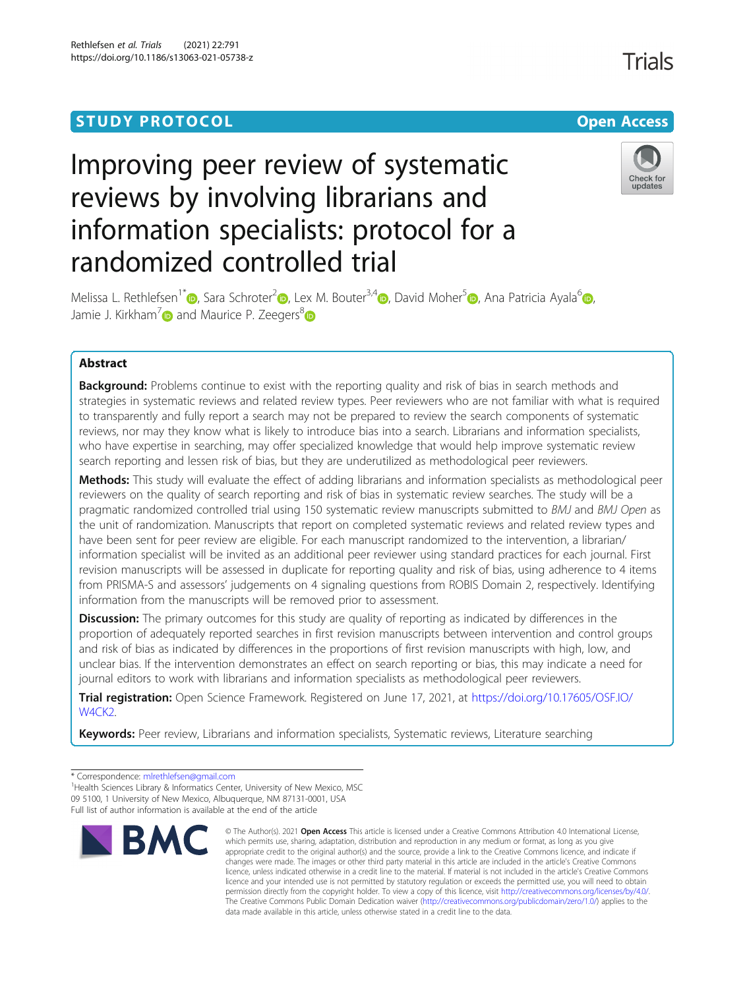# **STUDY PROTOCOL CONSUMING THE RESERVE ACCESS**

# Improving peer review of systematic reviews by involving librarians and information specialists: protocol for a randomized controlled trial



Melissa L. Rethlefsen<sup>1\*</sup> [,](https://orcid.org/0000-0002-2659-5482) Sara Schroter<sup>2</sup> , Lex M. Bouter<sup>3,4</sup> , David Moher<sup>5</sup> , Ana Patricia Ayala<sup>6</sup> , , Jamie J. Kirkham<sup>[7](https://orcid.org/0000-0003-2579-9325)</sup> $\bullet$  and Maurice P. Zeegers<sup>[8](https://orcid.org/0000-0002-2387-083X)</sup> $\bullet$ 

# Abstract

**Background:** Problems continue to exist with the reporting quality and risk of bias in search methods and strategies in systematic reviews and related review types. Peer reviewers who are not familiar with what is required to transparently and fully report a search may not be prepared to review the search components of systematic reviews, nor may they know what is likely to introduce bias into a search. Librarians and information specialists, who have expertise in searching, may offer specialized knowledge that would help improve systematic review search reporting and lessen risk of bias, but they are underutilized as methodological peer reviewers.

Methods: This study will evaluate the effect of adding librarians and information specialists as methodological peer reviewers on the quality of search reporting and risk of bias in systematic review searches. The study will be a pragmatic randomized controlled trial using 150 systematic review manuscripts submitted to BMJ and BMJ Open as the unit of randomization. Manuscripts that report on completed systematic reviews and related review types and have been sent for peer review are eligible. For each manuscript randomized to the intervention, a librarian/ information specialist will be invited as an additional peer reviewer using standard practices for each journal. First revision manuscripts will be assessed in duplicate for reporting quality and risk of bias, using adherence to 4 items from PRISMA-S and assessors' judgements on 4 signaling questions from ROBIS Domain 2, respectively. Identifying information from the manuscripts will be removed prior to assessment.

**Discussion:** The primary outcomes for this study are quality of reporting as indicated by differences in the proportion of adequately reported searches in first revision manuscripts between intervention and control groups and risk of bias as indicated by differences in the proportions of first revision manuscripts with high, low, and unclear bias. If the intervention demonstrates an effect on search reporting or bias, this may indicate a need for journal editors to work with librarians and information specialists as methodological peer reviewers.

Trial registration: Open Science Framework. Registered on June 17, 2021, at [https://doi.org/10.17605/OSF.IO/](https://doi.org/10.17605/OSF.IO/W4CK2) W<sub>4</sub>CK<sub>2</sub>.

Keywords: Peer review, Librarians and information specialists, Systematic reviews, Literature searching

\* Correspondence: [mlrethlefsen@gmail.com](mailto:mlrethlefsen@gmail.com) <sup>1</sup>

<sup>&</sup>lt;sup>1</sup>Health Sciences Library & Informatics Center, University of New Mexico, MSC 09 5100, 1 University of New Mexico, Albuquerque, NM 87131-0001, USA Full list of author information is available at the end of the article



<sup>©</sup> The Author(s), 2021 **Open Access** This article is licensed under a Creative Commons Attribution 4.0 International License, which permits use, sharing, adaptation, distribution and reproduction in any medium or format, as long as you give appropriate credit to the original author(s) and the source, provide a link to the Creative Commons licence, and indicate if changes were made. The images or other third party material in this article are included in the article's Creative Commons licence, unless indicated otherwise in a credit line to the material. If material is not included in the article's Creative Commons licence and your intended use is not permitted by statutory regulation or exceeds the permitted use, you will need to obtain permission directly from the copyright holder. To view a copy of this licence, visit [http://creativecommons.org/licenses/by/4.0/.](http://creativecommons.org/licenses/by/4.0/) The Creative Commons Public Domain Dedication waiver [\(http://creativecommons.org/publicdomain/zero/1.0/](http://creativecommons.org/publicdomain/zero/1.0/)) applies to the data made available in this article, unless otherwise stated in a credit line to the data.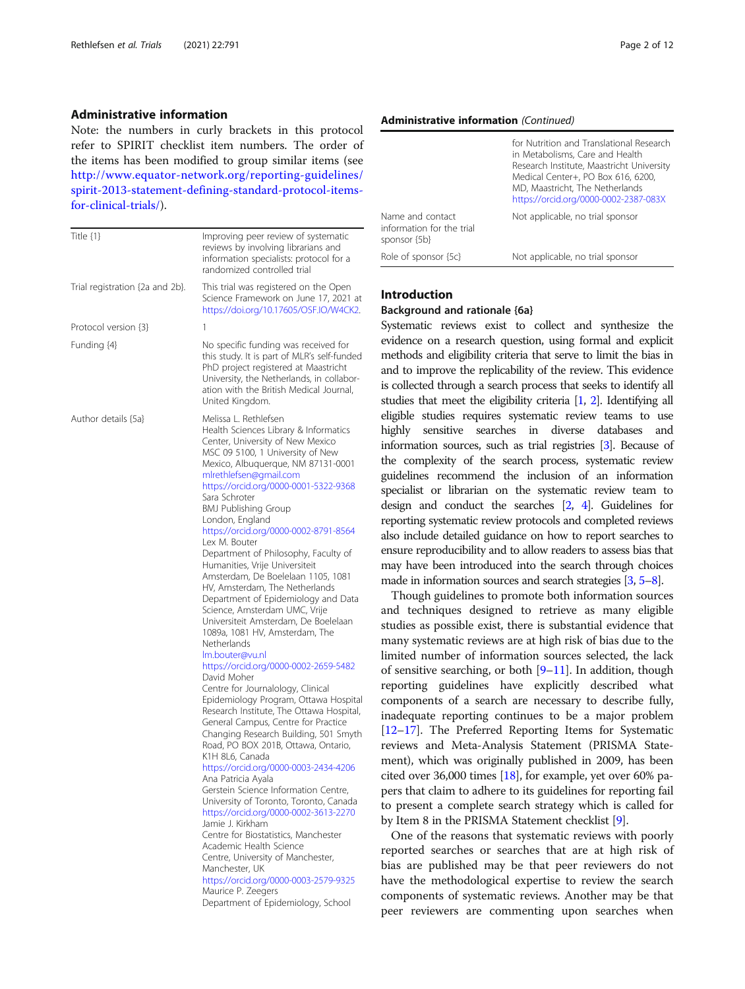#### Administrative information

Note: the numbers in curly brackets in this protocol refer to SPIRIT checklist item numbers. The order of the items has been modified to group similar items (see [http://www.equator-network.org/reporting-guidelines/](http://www.equator-network.org/reporting-guidelines/spirit-2013-statement-defining-standard-protocol-items-for-clinical-trials/) [spirit-2013-statement-defining-standard-protocol-items](http://www.equator-network.org/reporting-guidelines/spirit-2013-statement-defining-standard-protocol-items-for-clinical-trials/)[for-clinical-trials/](http://www.equator-network.org/reporting-guidelines/spirit-2013-statement-defining-standard-protocol-items-for-clinical-trials/)).

| Title $\{1\}$                   | Improving peer review of systematic<br>reviews by involving librarians and<br>information specialists: protocol for a<br>randomized controlled trial                                                                                                                                                                                                                                                                                                                                                                                                                                                                                                                                                                                                                                                                                                                                                                                                                                                                                                                                                                                                                                                                                                                                                                                                                                                                                                                                        |
|---------------------------------|---------------------------------------------------------------------------------------------------------------------------------------------------------------------------------------------------------------------------------------------------------------------------------------------------------------------------------------------------------------------------------------------------------------------------------------------------------------------------------------------------------------------------------------------------------------------------------------------------------------------------------------------------------------------------------------------------------------------------------------------------------------------------------------------------------------------------------------------------------------------------------------------------------------------------------------------------------------------------------------------------------------------------------------------------------------------------------------------------------------------------------------------------------------------------------------------------------------------------------------------------------------------------------------------------------------------------------------------------------------------------------------------------------------------------------------------------------------------------------------------|
| Trial registration {2a and 2b}. | This trial was registered on the Open<br>Science Framework on June 17, 2021 at<br>https://doi.org/10.17605/OSF.IO/W4CK2.                                                                                                                                                                                                                                                                                                                                                                                                                                                                                                                                                                                                                                                                                                                                                                                                                                                                                                                                                                                                                                                                                                                                                                                                                                                                                                                                                                    |
| Protocol version {3}            | 1                                                                                                                                                                                                                                                                                                                                                                                                                                                                                                                                                                                                                                                                                                                                                                                                                                                                                                                                                                                                                                                                                                                                                                                                                                                                                                                                                                                                                                                                                           |
| Funding {4}                     | No specific funding was received for<br>this study. It is part of MLR's self-funded<br>PhD project registered at Maastricht<br>University, the Netherlands, in collabor-<br>ation with the British Medical Journal,<br>United Kingdom.                                                                                                                                                                                                                                                                                                                                                                                                                                                                                                                                                                                                                                                                                                                                                                                                                                                                                                                                                                                                                                                                                                                                                                                                                                                      |
| Author details {5a}             | Melissa L. Rethlefsen<br>Health Sciences Library & Informatics<br>Center, University of New Mexico<br>MSC 09 5100, 1 University of New<br>Mexico, Albuquerque, NM 87131-0001<br>mlrethlefsen@gmail.com<br>https://orcid.org/0000-0001-5322-9368<br>Sara Schroter<br><b>BMJ Publishing Group</b><br>London, England<br>https://orcid.org/0000-0002-8791-8564<br>Lex M. Bouter<br>Department of Philosophy, Faculty of<br>Humanities, Vrije Universiteit<br>Amsterdam, De Boelelaan 1105, 1081<br>HV, Amsterdam, The Netherlands<br>Department of Epidemiology and Data<br>Science, Amsterdam UMC, Vrije<br>Universiteit Amsterdam, De Boelelaan<br>1089a, 1081 HV, Amsterdam, The<br>Netherlands<br>lm.bouter@vu.nl<br>https://orcid.org/0000-0002-2659-5482<br>David Moher<br>Centre for Journalology, Clinical<br>Epidemiology Program, Ottawa Hospital<br>Research Institute, The Ottawa Hospital,<br>General Campus, Centre for Practice<br>Changing Research Building, 501 Smyth<br>Road, PO BOX 201B, Ottawa, Ontario,<br>K1H 8L6, Canada<br>https://orcid.org/0000-0003-2434-4206<br>Ana Patricia Ayala<br>Gerstein Science Information Centre,<br>University of Toronto, Toronto, Canada<br>https://orcid.org/0000-0002-3613-2270<br>Jamie J. Kirkham<br>Centre for Biostatistics, Manchester<br>Academic Health Science<br>Centre, University of Manchester,<br>Manchester, UK<br>https://orcid.org/0000-0003-2579-9325<br>Maurice P. Zeegers<br>Department of Epidemiology, School |

#### Administrative information (Continued)

|                                                                   | for Nutrition and Translational Research<br>in Metabolisms, Care and Health<br>Research Institute, Maastricht University<br>Medical Center+, PO Box 616, 6200,<br>MD, Maastricht, The Netherlands<br>https://orcid.org/0000-0002-2387-083X |
|-------------------------------------------------------------------|--------------------------------------------------------------------------------------------------------------------------------------------------------------------------------------------------------------------------------------------|
| Name and contact<br>information for the trial<br>sponsor $\{5b\}$ | Not applicable, no trial sponsor                                                                                                                                                                                                           |
| Role of sponsor {5c}                                              | Not applicable, no trial sponsor                                                                                                                                                                                                           |

# Introduction

#### Background and rationale {6a}

Systematic reviews exist to collect and synthesize the evidence on a research question, using formal and explicit methods and eligibility criteria that serve to limit the bias in and to improve the replicability of the review. This evidence is collected through a search process that seeks to identify all studies that meet the eligibility criteria [\[1,](#page-10-0) [2\]](#page-10-0). Identifying all eligible studies requires systematic review teams to use highly sensitive searches in diverse databases and information sources, such as trial registries [[3](#page-10-0)]. Because of the complexity of the search process, systematic review guidelines recommend the inclusion of an information specialist or librarian on the systematic review team to design and conduct the searches [\[2,](#page-10-0) [4\]](#page-10-0). Guidelines for reporting systematic review protocols and completed reviews also include detailed guidance on how to report searches to ensure reproducibility and to allow readers to assess bias that may have been introduced into the search through choices made in information sources and search strategies [\[3](#page-10-0), [5](#page-10-0)–[8\]](#page-10-0).

Though guidelines to promote both information sources and techniques designed to retrieve as many eligible studies as possible exist, there is substantial evidence that many systematic reviews are at high risk of bias due to the limited number of information sources selected, the lack of sensitive searching, or both [[9](#page-10-0)–[11](#page-10-0)]. In addition, though reporting guidelines have explicitly described what components of a search are necessary to describe fully, inadequate reporting continues to be a major problem [[12](#page-10-0)–[17\]](#page-11-0). The Preferred Reporting Items for Systematic reviews and Meta-Analysis Statement (PRISMA Statement), which was originally published in 2009, has been cited over 36,000 times [[18](#page-11-0)], for example, yet over 60% papers that claim to adhere to its guidelines for reporting fail to present a complete search strategy which is called for by Item 8 in the PRISMA Statement checklist [[9\]](#page-10-0).

One of the reasons that systematic reviews with poorly reported searches or searches that are at high risk of bias are published may be that peer reviewers do not have the methodological expertise to review the search components of systematic reviews. Another may be that peer reviewers are commenting upon searches when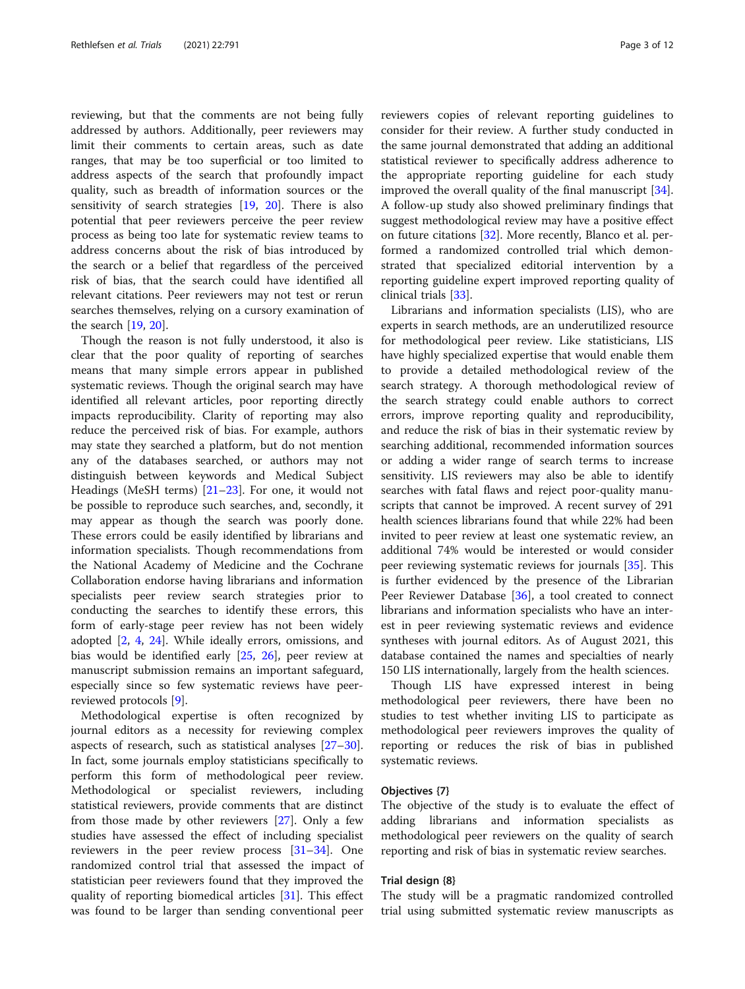reviewing, but that the comments are not being fully addressed by authors. Additionally, peer reviewers may limit their comments to certain areas, such as date ranges, that may be too superficial or too limited to address aspects of the search that profoundly impact quality, such as breadth of information sources or the sensitivity of search strategies [[19](#page-11-0), [20\]](#page-11-0). There is also potential that peer reviewers perceive the peer review process as being too late for systematic review teams to address concerns about the risk of bias introduced by the search or a belief that regardless of the perceived risk of bias, that the search could have identified all relevant citations. Peer reviewers may not test or rerun searches themselves, relying on a cursory examination of the search [[19](#page-11-0), [20](#page-11-0)].

Though the reason is not fully understood, it also is clear that the poor quality of reporting of searches means that many simple errors appear in published systematic reviews. Though the original search may have identified all relevant articles, poor reporting directly impacts reproducibility. Clarity of reporting may also reduce the perceived risk of bias. For example, authors may state they searched a platform, but do not mention any of the databases searched, or authors may not distinguish between keywords and Medical Subject Headings (MeSH terms) [\[21](#page-11-0)–[23\]](#page-11-0). For one, it would not be possible to reproduce such searches, and, secondly, it may appear as though the search was poorly done. These errors could be easily identified by librarians and information specialists. Though recommendations from the National Academy of Medicine and the Cochrane Collaboration endorse having librarians and information specialists peer review search strategies prior to conducting the searches to identify these errors, this form of early-stage peer review has not been widely adopted [[2,](#page-10-0) [4](#page-10-0), [24](#page-11-0)]. While ideally errors, omissions, and bias would be identified early [\[25](#page-11-0), [26](#page-11-0)], peer review at manuscript submission remains an important safeguard, especially since so few systematic reviews have peerreviewed protocols [[9\]](#page-10-0).

Methodological expertise is often recognized by journal editors as a necessity for reviewing complex aspects of research, such as statistical analyses [[27](#page-11-0)–[30](#page-11-0)]. In fact, some journals employ statisticians specifically to perform this form of methodological peer review. Methodological or specialist reviewers, including statistical reviewers, provide comments that are distinct from those made by other reviewers [\[27](#page-11-0)]. Only a few studies have assessed the effect of including specialist reviewers in the peer review process [\[31](#page-11-0)–[34\]](#page-11-0). One randomized control trial that assessed the impact of statistician peer reviewers found that they improved the quality of reporting biomedical articles [\[31\]](#page-11-0). This effect was found to be larger than sending conventional peer

reviewers copies of relevant reporting guidelines to consider for their review. A further study conducted in the same journal demonstrated that adding an additional statistical reviewer to specifically address adherence to the appropriate reporting guideline for each study improved the overall quality of the final manuscript [\[34](#page-11-0)]. A follow-up study also showed preliminary findings that suggest methodological review may have a positive effect on future citations [[32\]](#page-11-0). More recently, Blanco et al. performed a randomized controlled trial which demonstrated that specialized editorial intervention by a reporting guideline expert improved reporting quality of clinical trials [[33\]](#page-11-0).

Librarians and information specialists (LIS), who are experts in search methods, are an underutilized resource for methodological peer review. Like statisticians, LIS have highly specialized expertise that would enable them to provide a detailed methodological review of the search strategy. A thorough methodological review of the search strategy could enable authors to correct errors, improve reporting quality and reproducibility, and reduce the risk of bias in their systematic review by searching additional, recommended information sources or adding a wider range of search terms to increase sensitivity. LIS reviewers may also be able to identify searches with fatal flaws and reject poor-quality manuscripts that cannot be improved. A recent survey of 291 health sciences librarians found that while 22% had been invited to peer review at least one systematic review, an additional 74% would be interested or would consider peer reviewing systematic reviews for journals [[35\]](#page-11-0). This is further evidenced by the presence of the Librarian Peer Reviewer Database [\[36\]](#page-11-0), a tool created to connect librarians and information specialists who have an interest in peer reviewing systematic reviews and evidence syntheses with journal editors. As of August 2021, this database contained the names and specialties of nearly 150 LIS internationally, largely from the health sciences.

Though LIS have expressed interest in being methodological peer reviewers, there have been no studies to test whether inviting LIS to participate as methodological peer reviewers improves the quality of reporting or reduces the risk of bias in published systematic reviews.

#### Objectives {7}

The objective of the study is to evaluate the effect of adding librarians and information specialists as methodological peer reviewers on the quality of search reporting and risk of bias in systematic review searches.

### Trial design {8}

The study will be a pragmatic randomized controlled trial using submitted systematic review manuscripts as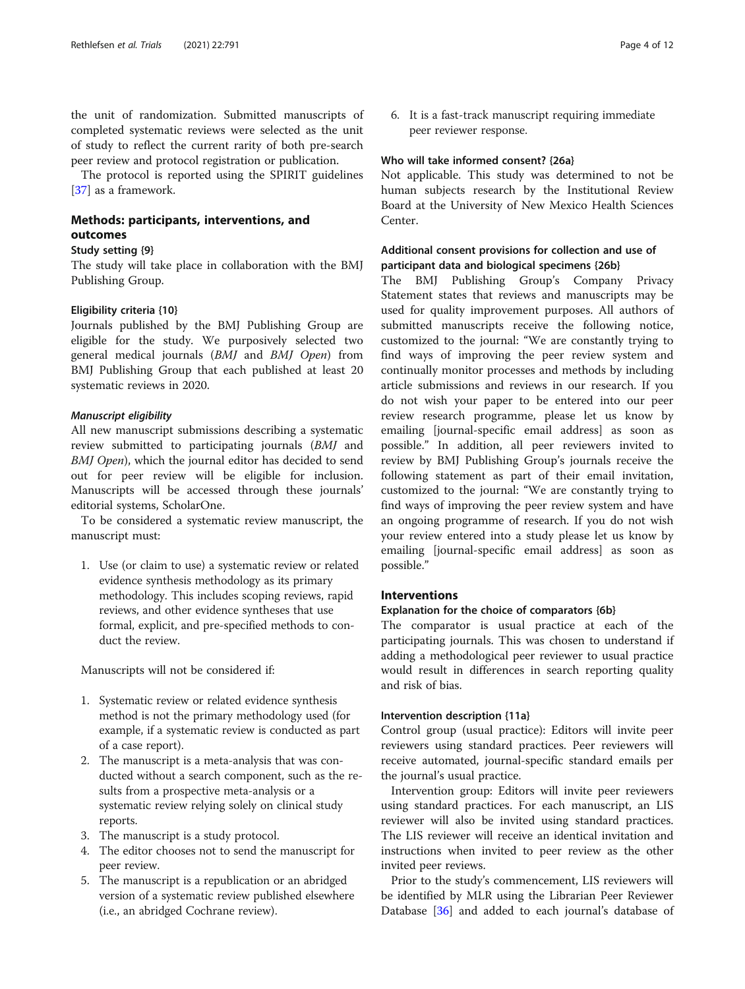the unit of randomization. Submitted manuscripts of completed systematic reviews were selected as the unit of study to reflect the current rarity of both pre-search peer review and protocol registration or publication.

The protocol is reported using the SPIRIT guidelines [[37\]](#page-11-0) as a framework.

# Methods: participants, interventions, and outcomes

#### Study setting {9}

The study will take place in collaboration with the BMJ Publishing Group.

#### Eligibility criteria {10}

Journals published by the BMJ Publishing Group are eligible for the study. We purposively selected two general medical journals (BMJ and BMJ Open) from BMJ Publishing Group that each published at least 20 systematic reviews in 2020.

#### Manuscript eligibility

All new manuscript submissions describing a systematic review submitted to participating journals (BMJ and BMJ Open), which the journal editor has decided to send out for peer review will be eligible for inclusion. Manuscripts will be accessed through these journals' editorial systems, ScholarOne.

To be considered a systematic review manuscript, the manuscript must:

1. Use (or claim to use) a systematic review or related evidence synthesis methodology as its primary methodology. This includes scoping reviews, rapid reviews, and other evidence syntheses that use formal, explicit, and pre-specified methods to conduct the review.

Manuscripts will not be considered if:

- 1. Systematic review or related evidence synthesis method is not the primary methodology used (for example, if a systematic review is conducted as part of a case report).
- 2. The manuscript is a meta-analysis that was conducted without a search component, such as the results from a prospective meta-analysis or a systematic review relying solely on clinical study reports.
- 3. The manuscript is a study protocol.
- 4. The editor chooses not to send the manuscript for peer review.
- 5. The manuscript is a republication or an abridged version of a systematic review published elsewhere (i.e., an abridged Cochrane review).

6. It is a fast-track manuscript requiring immediate peer reviewer response.

#### Who will take informed consent? {26a}

Not applicable. This study was determined to not be human subjects research by the Institutional Review Board at the University of New Mexico Health Sciences Center.

# Additional consent provisions for collection and use of participant data and biological specimens {26b}

The BMJ Publishing Group's Company Privacy Statement states that reviews and manuscripts may be used for quality improvement purposes. All authors of submitted manuscripts receive the following notice, customized to the journal: "We are constantly trying to find ways of improving the peer review system and continually monitor processes and methods by including article submissions and reviews in our research. If you do not wish your paper to be entered into our peer review research programme, please let us know by emailing [journal-specific email address] as soon as possible." In addition, all peer reviewers invited to review by BMJ Publishing Group's journals receive the following statement as part of their email invitation, customized to the journal: "We are constantly trying to find ways of improving the peer review system and have an ongoing programme of research. If you do not wish your review entered into a study please let us know by emailing [journal-specific email address] as soon as possible."

### Interventions

#### Explanation for the choice of comparators {6b}

The comparator is usual practice at each of the participating journals. This was chosen to understand if adding a methodological peer reviewer to usual practice would result in differences in search reporting quality and risk of bias.

# Intervention description {11a}

Control group (usual practice): Editors will invite peer reviewers using standard practices. Peer reviewers will receive automated, journal-specific standard emails per the journal's usual practice.

Intervention group: Editors will invite peer reviewers using standard practices. For each manuscript, an LIS reviewer will also be invited using standard practices. The LIS reviewer will receive an identical invitation and instructions when invited to peer review as the other invited peer reviews.

Prior to the study's commencement, LIS reviewers will be identified by MLR using the Librarian Peer Reviewer Database [\[36](#page-11-0)] and added to each journal's database of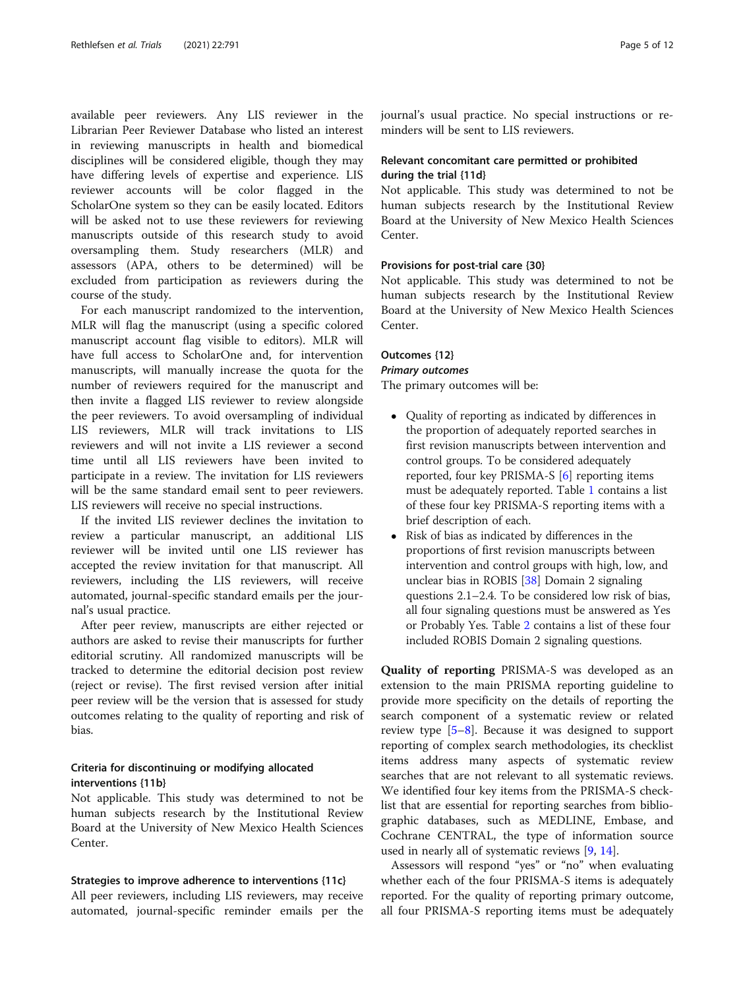available peer reviewers. Any LIS reviewer in the Librarian Peer Reviewer Database who listed an interest in reviewing manuscripts in health and biomedical disciplines will be considered eligible, though they may have differing levels of expertise and experience. LIS reviewer accounts will be color flagged in the ScholarOne system so they can be easily located. Editors will be asked not to use these reviewers for reviewing manuscripts outside of this research study to avoid oversampling them. Study researchers (MLR) and assessors (APA, others to be determined) will be excluded from participation as reviewers during the course of the study.

For each manuscript randomized to the intervention, MLR will flag the manuscript (using a specific colored manuscript account flag visible to editors). MLR will have full access to ScholarOne and, for intervention manuscripts, will manually increase the quota for the number of reviewers required for the manuscript and then invite a flagged LIS reviewer to review alongside the peer reviewers. To avoid oversampling of individual LIS reviewers, MLR will track invitations to LIS reviewers and will not invite a LIS reviewer a second time until all LIS reviewers have been invited to participate in a review. The invitation for LIS reviewers will be the same standard email sent to peer reviewers. LIS reviewers will receive no special instructions.

If the invited LIS reviewer declines the invitation to review a particular manuscript, an additional LIS reviewer will be invited until one LIS reviewer has accepted the review invitation for that manuscript. All reviewers, including the LIS reviewers, will receive automated, journal-specific standard emails per the journal's usual practice.

After peer review, manuscripts are either rejected or authors are asked to revise their manuscripts for further editorial scrutiny. All randomized manuscripts will be tracked to determine the editorial decision post review (reject or revise). The first revised version after initial peer review will be the version that is assessed for study outcomes relating to the quality of reporting and risk of bias.

# Criteria for discontinuing or modifying allocated interventions {11b}

Not applicable. This study was determined to not be human subjects research by the Institutional Review Board at the University of New Mexico Health Sciences Center.

#### Strategies to improve adherence to interventions {11c}

All peer reviewers, including LIS reviewers, may receive automated, journal-specific reminder emails per the journal's usual practice. No special instructions or reminders will be sent to LIS reviewers.

# Relevant concomitant care permitted or prohibited during the trial {11d}

Not applicable. This study was determined to not be human subjects research by the Institutional Review Board at the University of New Mexico Health Sciences Center.

#### Provisions for post-trial care {30}

Not applicable. This study was determined to not be human subjects research by the Institutional Review Board at the University of New Mexico Health Sciences Center.

# Outcomes {12}

#### Primary outcomes

The primary outcomes will be:

- Quality of reporting as indicated by differences in the proportion of adequately reported searches in first revision manuscripts between intervention and control groups. To be considered adequately reported, four key PRISMA-S [[6\]](#page-10-0) reporting items must be adequately reported. Table [1](#page-5-0) contains a list of these four key PRISMA-S reporting items with a brief description of each.
- Risk of bias as indicated by differences in the proportions of first revision manuscripts between intervention and control groups with high, low, and unclear bias in ROBIS [[38](#page-11-0)] Domain 2 signaling questions 2.1–2.4. To be considered low risk of bias, all four signaling questions must be answered as Yes or Probably Yes. Table [2](#page-5-0) contains a list of these four included ROBIS Domain 2 signaling questions.

Quality of reporting PRISMA-S was developed as an extension to the main PRISMA reporting guideline to provide more specificity on the details of reporting the search component of a systematic review or related review type  $[5-8]$  $[5-8]$  $[5-8]$  $[5-8]$ . Because it was designed to support reporting of complex search methodologies, its checklist items address many aspects of systematic review searches that are not relevant to all systematic reviews. We identified four key items from the PRISMA-S checklist that are essential for reporting searches from bibliographic databases, such as MEDLINE, Embase, and Cochrane CENTRAL, the type of information source used in nearly all of systematic reviews [[9,](#page-10-0) [14\]](#page-10-0).

Assessors will respond "yes" or "no" when evaluating whether each of the four PRISMA-S items is adequately reported. For the quality of reporting primary outcome, all four PRISMA-S reporting items must be adequately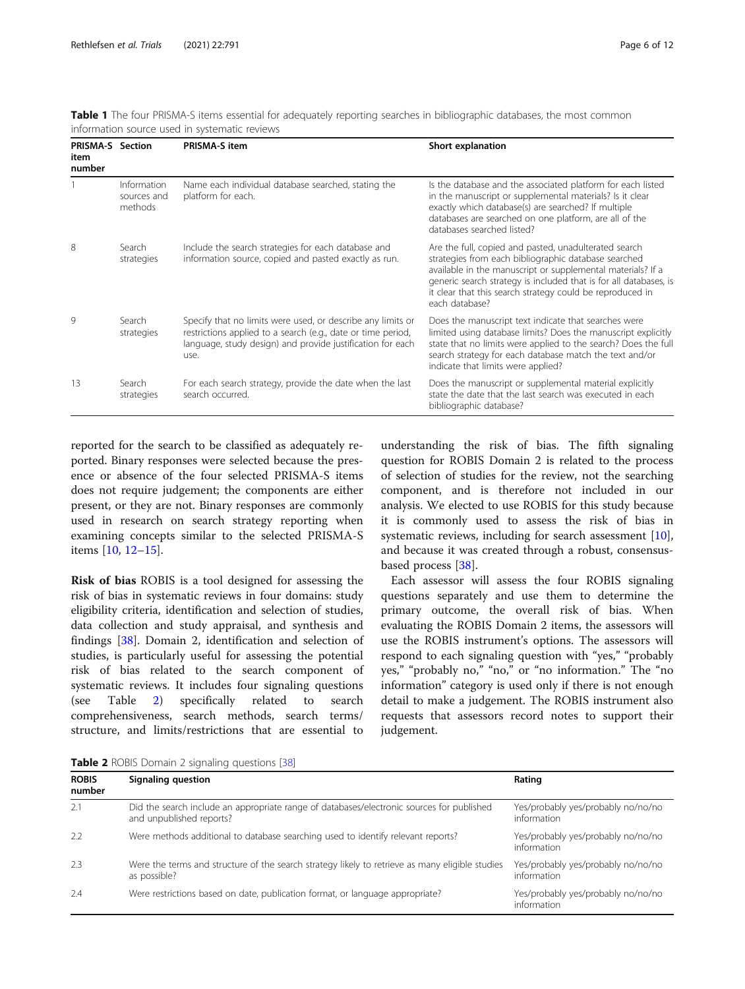| <b>PRISMA-S</b> Section<br>item<br>number |                                       | <b>PRISMA-S item</b>                                                                                                                                                                              | Short explanation                                                                                                                                                                                                                                                                                                                |
|-------------------------------------------|---------------------------------------|---------------------------------------------------------------------------------------------------------------------------------------------------------------------------------------------------|----------------------------------------------------------------------------------------------------------------------------------------------------------------------------------------------------------------------------------------------------------------------------------------------------------------------------------|
|                                           | Information<br>sources and<br>methods | Name each individual database searched, stating the<br>platform for each.                                                                                                                         | Is the database and the associated platform for each listed<br>in the manuscript or supplemental materials? Is it clear<br>exactly which database(s) are searched? If multiple<br>databases are searched on one platform, are all of the<br>databases searched listed?                                                           |
| 8                                         | Search<br>strategies                  | Include the search strategies for each database and<br>information source, copied and pasted exactly as run.                                                                                      | Are the full, copied and pasted, unadulterated search<br>strategies from each bibliographic database searched<br>available in the manuscript or supplemental materials? If a<br>generic search strategy is included that is for all databases, is<br>it clear that this search strategy could be reproduced in<br>each database? |
| 9                                         | Search<br>strategies                  | Specify that no limits were used, or describe any limits or<br>restrictions applied to a search (e.g., date or time period,<br>language, study design) and provide justification for each<br>use. | Does the manuscript text indicate that searches were<br>limited using database limits? Does the manuscript explicitly<br>state that no limits were applied to the search? Does the full<br>search strategy for each database match the text and/or<br>indicate that limits were applied?                                         |
| 13                                        | Search<br>strategies                  | For each search strategy, provide the date when the last<br>search occurred.                                                                                                                      | Does the manuscript or supplemental material explicitly<br>state the date that the last search was executed in each<br>bibliographic database?                                                                                                                                                                                   |

<span id="page-5-0"></span>Table 1 The four PRISMA-S items essential for adequately reporting searches in bibliographic databases, the most common information source used in systematic reviews

reported for the search to be classified as adequately reported. Binary responses were selected because the presence or absence of the four selected PRISMA-S items does not require judgement; the components are either present, or they are not. Binary responses are commonly used in research on search strategy reporting when examining concepts similar to the selected PRISMA-S items [[10,](#page-10-0) [12](#page-10-0)–[15](#page-10-0)].

Risk of bias ROBIS is a tool designed for assessing the risk of bias in systematic reviews in four domains: study eligibility criteria, identification and selection of studies, data collection and study appraisal, and synthesis and findings [[38\]](#page-11-0). Domain 2, identification and selection of studies, is particularly useful for assessing the potential risk of bias related to the search component of systematic reviews. It includes four signaling questions (see Table 2) specifically related to search comprehensiveness, search methods, search terms/ structure, and limits/restrictions that are essential to

understanding the risk of bias. The fifth signaling question for ROBIS Domain 2 is related to the process of selection of studies for the review, not the searching component, and is therefore not included in our analysis. We elected to use ROBIS for this study because it is commonly used to assess the risk of bias in systematic reviews, including for search assessment [\[10](#page-10-0)], and because it was created through a robust, consensusbased process [\[38\]](#page-11-0).

Each assessor will assess the four ROBIS signaling questions separately and use them to determine the primary outcome, the overall risk of bias. When evaluating the ROBIS Domain 2 items, the assessors will use the ROBIS instrument's options. The assessors will respond to each signaling question with "yes," "probably yes," "probably no," "no," or "no information." The "no information" category is used only if there is not enough detail to make a judgement. The ROBIS instrument also requests that assessors record notes to support their judgement.

Table 2 ROBIS Domain 2 signaling questions [[38](#page-11-0)]

| <b>ROBIS</b><br>number | Signaling question                                                                                                    | Rating                                            |
|------------------------|-----------------------------------------------------------------------------------------------------------------------|---------------------------------------------------|
| 2.1                    | Did the search include an appropriate range of databases/electronic sources for published<br>and unpublished reports? | Yes/probably yes/probably no/no/no<br>information |
| 2.2                    | Were methods additional to database searching used to identify relevant reports?                                      | Yes/probably yes/probably no/no/no<br>information |
| 2.3                    | Were the terms and structure of the search strategy likely to retrieve as many eligible studies<br>as possible?       | Yes/probably yes/probably no/no/no<br>information |
| 2.4                    | Were restrictions based on date, publication format, or language appropriate?                                         | Yes/probably yes/probably no/no/no<br>information |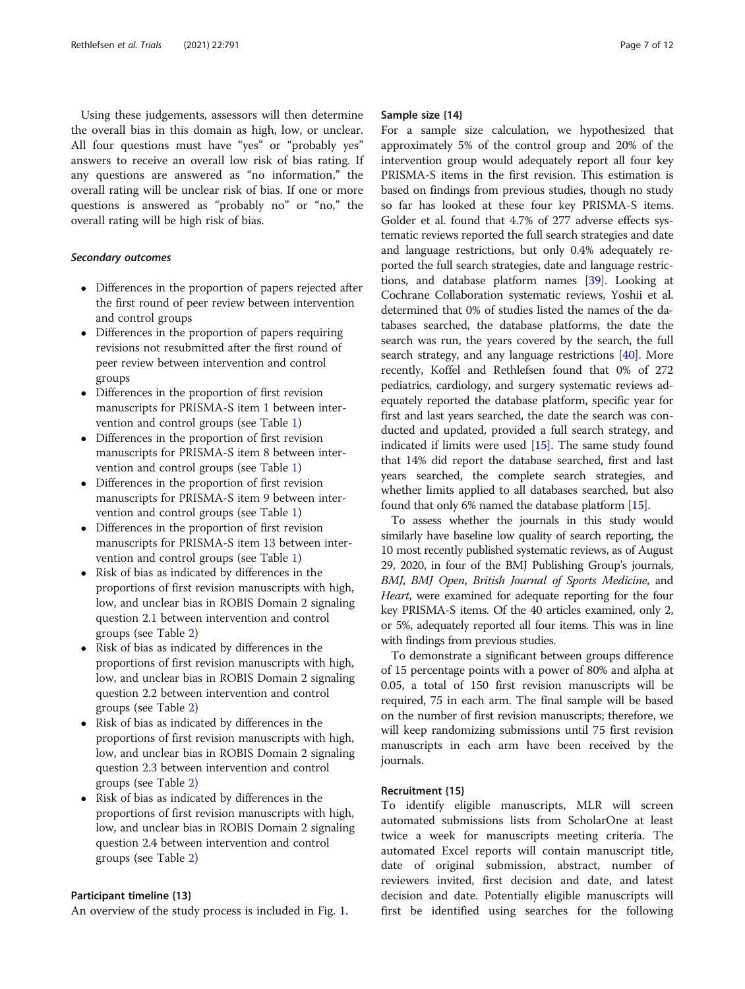Using these judgements, assessors will then determine the overall bias in this domain as high, low, or unclear. All four questions must have "yes" or "probably yes" answers to receive an overall low risk of bias rating. If any questions are answered as "no information," the overall rating will be unclear risk of bias. If one or more questions is answered as "probably no" or "no," the overall rating will be high risk of bias.

# Secondary outcomes

- Differences in the proportion of papers rejected after the first round of peer review between intervention and control groups
- Differences in the proportion of papers requiring revisions not resubmitted after the first round of peer review between intervention and control groups
- Differences in the proportion of first revision manuscripts for PRISMA-S item 1 between intervention and control groups (see Table [1](#page-5-0))
- Differences in the proportion of first revision manuscripts for PRISMA-S item 8 between intervention and control groups (see Table [1](#page-5-0))
- Differences in the proportion of first revision manuscripts for PRISMA-S item 9 between intervention and control groups (see Table [1](#page-5-0))
- Differences in the proportion of first revision manuscripts for PRISMA-S item 13 between intervention and control groups (see Table [1](#page-5-0))
- Risk of bias as indicated by differences in the proportions of first revision manuscripts with high, low, and unclear bias in ROBIS Domain 2 signaling question 2.1 between intervention and control groups (see Table [2\)](#page-5-0)
- Risk of bias as indicated by differences in the proportions of first revision manuscripts with high, low, and unclear bias in ROBIS Domain 2 signaling question 2.2 between intervention and control groups (see Table [2\)](#page-5-0)
- Risk of bias as indicated by differences in the proportions of first revision manuscripts with high, low, and unclear bias in ROBIS Domain 2 signaling question 2.3 between intervention and control groups (see Table [2\)](#page-5-0)
- Risk of bias as indicated by differences in the proportions of first revision manuscripts with high, low, and unclear bias in ROBIS Domain 2 signaling question 2.4 between intervention and control groups (see Table [2\)](#page-5-0)

#### Participant timeline {13}

An overview of the study process is included in Fig. [1](#page-7-0).

#### Sample size {14}

For a sample size calculation, we hypothesized that approximately 5% of the control group and 20% of the intervention group would adequately report all four key PRISMA-S items in the first revision. This estimation is based on findings from previous studies, though no study so far has looked at these four key PRISMA-S items. Golder et al. found that 4.7% of 277 adverse effects systematic reviews reported the full search strategies and date and language restrictions, but only 0.4% adequately reported the full search strategies, date and language restrictions, and database platform names [[39](#page-11-0)]. Looking at Cochrane Collaboration systematic reviews, Yoshii et al. determined that 0% of studies listed the names of the databases searched, the database platforms, the date the search was run, the years covered by the search, the full search strategy, and any language restrictions [[40\]](#page-11-0). More recently, Koffel and Rethlefsen found that 0% of 272 pediatrics, cardiology, and surgery systematic reviews adequately reported the database platform, specific year for first and last years searched, the date the search was conducted and updated, provided a full search strategy, and indicated if limits were used [[15](#page-10-0)]. The same study found that 14% did report the database searched, first and last years searched, the complete search strategies, and whether limits applied to all databases searched, but also found that only 6% named the database platform [\[15\]](#page-10-0).

To assess whether the journals in this study would similarly have baseline low quality of search reporting, the 10 most recently published systematic reviews, as of August 29, 2020, in four of the BMJ Publishing Group's journals, BMJ, BMJ Open, British Journal of Sports Medicine, and Heart, were examined for adequate reporting for the four key PRISMA-S items. Of the 40 articles examined, only 2, or 5%, adequately reported all four items. This was in line with findings from previous studies.

To demonstrate a significant between groups difference of 15 percentage points with a power of 80% and alpha at 0.05, a total of 150 first revision manuscripts will be required, 75 in each arm. The final sample will be based on the number of first revision manuscripts; therefore, we will keep randomizing submissions until 75 first revision manuscripts in each arm have been received by the journals.

# Recruitment {15}

To identify eligible manuscripts, MLR will screen automated submissions lists from ScholarOne at least twice a week for manuscripts meeting criteria. The automated Excel reports will contain manuscript title, date of original submission, abstract, number of reviewers invited, first decision and date, and latest decision and date. Potentially eligible manuscripts will first be identified using searches for the following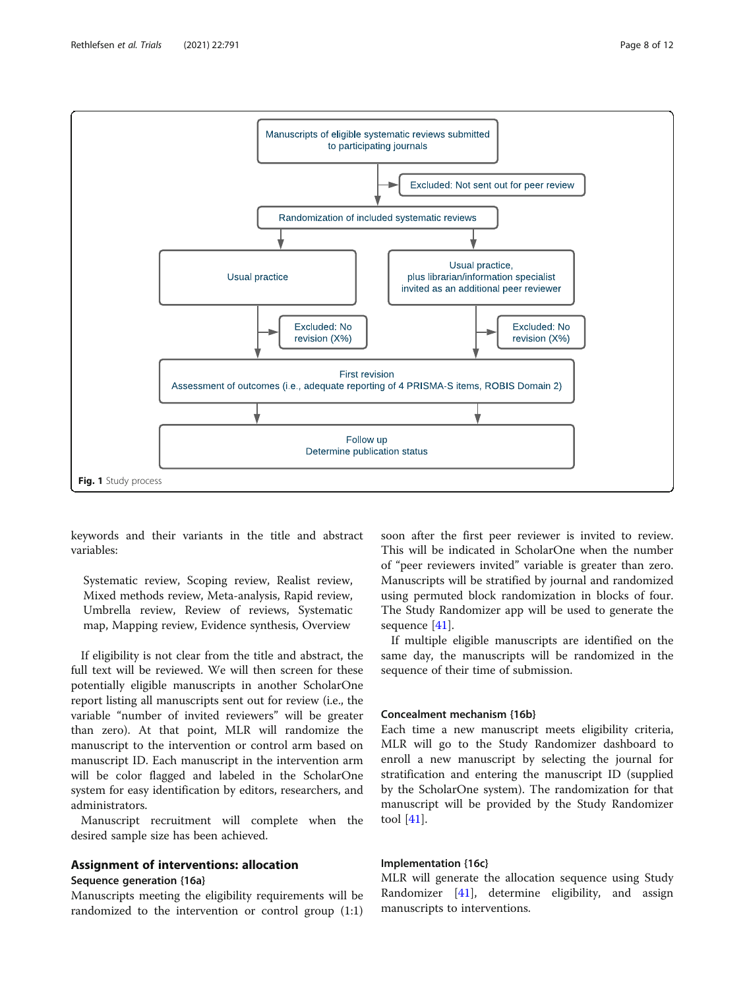<span id="page-7-0"></span>

keywords and their variants in the title and abstract variables:

Systematic review, Scoping review, Realist review, Mixed methods review, Meta-analysis, Rapid review, Umbrella review, Review of reviews, Systematic map, Mapping review, Evidence synthesis, Overview

If eligibility is not clear from the title and abstract, the full text will be reviewed. We will then screen for these potentially eligible manuscripts in another ScholarOne report listing all manuscripts sent out for review (i.e., the variable "number of invited reviewers" will be greater than zero). At that point, MLR will randomize the manuscript to the intervention or control arm based on manuscript ID. Each manuscript in the intervention arm will be color flagged and labeled in the ScholarOne system for easy identification by editors, researchers, and administrators.

Manuscript recruitment will complete when the desired sample size has been achieved.

# Assignment of interventions: allocation

#### Sequence generation {16a}

Manuscripts meeting the eligibility requirements will be randomized to the intervention or control group (1:1)

soon after the first peer reviewer is invited to review. This will be indicated in ScholarOne when the number of "peer reviewers invited" variable is greater than zero. Manuscripts will be stratified by journal and randomized using permuted block randomization in blocks of four. The Study Randomizer app will be used to generate the sequence [\[41\]](#page-11-0).

If multiple eligible manuscripts are identified on the same day, the manuscripts will be randomized in the sequence of their time of submission.

# Concealment mechanism {16b}

Each time a new manuscript meets eligibility criteria, MLR will go to the Study Randomizer dashboard to enroll a new manuscript by selecting the journal for stratification and entering the manuscript ID (supplied by the ScholarOne system). The randomization for that manuscript will be provided by the Study Randomizer tool [[41\]](#page-11-0).

# Implementation {16c}

MLR will generate the allocation sequence using Study Randomizer [\[41](#page-11-0)], determine eligibility, and assign manuscripts to interventions.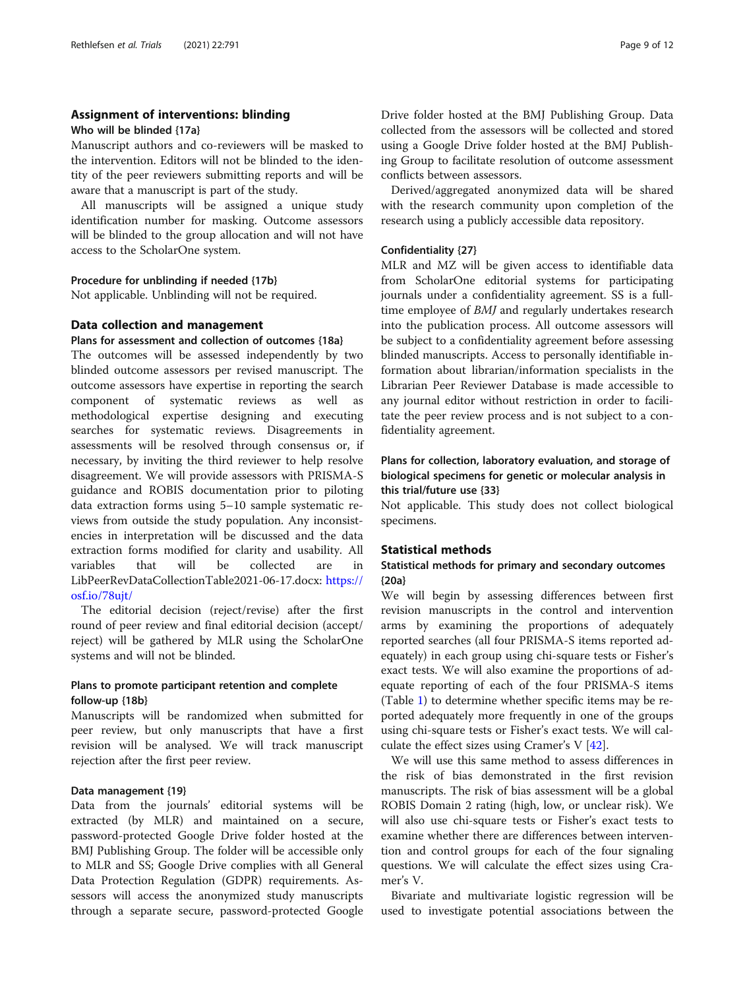# Assignment of interventions: blinding

#### Who will be blinded {17a}

Manuscript authors and co-reviewers will be masked to the intervention. Editors will not be blinded to the identity of the peer reviewers submitting reports and will be aware that a manuscript is part of the study.

All manuscripts will be assigned a unique study identification number for masking. Outcome assessors will be blinded to the group allocation and will not have access to the ScholarOne system.

# Procedure for unblinding if needed {17b}

Not applicable. Unblinding will not be required.

# Data collection and management

#### Plans for assessment and collection of outcomes {18a}

The outcomes will be assessed independently by two blinded outcome assessors per revised manuscript. The outcome assessors have expertise in reporting the search component of systematic reviews as well as methodological expertise designing and executing searches for systematic reviews. Disagreements in assessments will be resolved through consensus or, if necessary, by inviting the third reviewer to help resolve disagreement. We will provide assessors with PRISMA-S guidance and ROBIS documentation prior to piloting data extraction forms using 5–10 sample systematic reviews from outside the study population. Any inconsistencies in interpretation will be discussed and the data extraction forms modified for clarity and usability. All variables that will be collected are in LibPeerRevDataCollectionTable2021-06-17.docx: [https://](https://osf.io/78ujt/) [osf.io/78ujt/](https://osf.io/78ujt/)

The editorial decision (reject/revise) after the first round of peer review and final editorial decision (accept/ reject) will be gathered by MLR using the ScholarOne systems and will not be blinded.

# Plans to promote participant retention and complete follow-up {18b}

Manuscripts will be randomized when submitted for peer review, but only manuscripts that have a first revision will be analysed. We will track manuscript rejection after the first peer review.

#### Data management {19}

Data from the journals' editorial systems will be extracted (by MLR) and maintained on a secure, password-protected Google Drive folder hosted at the BMJ Publishing Group. The folder will be accessible only to MLR and SS; Google Drive complies with all General Data Protection Regulation (GDPR) requirements. Assessors will access the anonymized study manuscripts through a separate secure, password-protected Google

using a Google Drive folder hosted at the BMJ Publishing Group to facilitate resolution of outcome assessment conflicts between assessors.

Derived/aggregated anonymized data will be shared with the research community upon completion of the research using a publicly accessible data repository.

### Confidentiality {27}

MLR and MZ will be given access to identifiable data from ScholarOne editorial systems for participating journals under a confidentiality agreement. SS is a fulltime employee of BMJ and regularly undertakes research into the publication process. All outcome assessors will be subject to a confidentiality agreement before assessing blinded manuscripts. Access to personally identifiable information about librarian/information specialists in the Librarian Peer Reviewer Database is made accessible to any journal editor without restriction in order to facilitate the peer review process and is not subject to a confidentiality agreement.

# Plans for collection, laboratory evaluation, and storage of biological specimens for genetic or molecular analysis in this trial/future use {33}

Not applicable. This study does not collect biological specimens.

#### Statistical methods

# Statistical methods for primary and secondary outcomes {20a}

We will begin by assessing differences between first revision manuscripts in the control and intervention arms by examining the proportions of adequately reported searches (all four PRISMA-S items reported adequately) in each group using chi-square tests or Fisher's exact tests. We will also examine the proportions of adequate reporting of each of the four PRISMA-S items (Table [1\)](#page-5-0) to determine whether specific items may be reported adequately more frequently in one of the groups using chi-square tests or Fisher's exact tests. We will calculate the effect sizes using Cramer's V  $[42]$  $[42]$ .

We will use this same method to assess differences in the risk of bias demonstrated in the first revision manuscripts. The risk of bias assessment will be a global ROBIS Domain 2 rating (high, low, or unclear risk). We will also use chi-square tests or Fisher's exact tests to examine whether there are differences between intervention and control groups for each of the four signaling questions. We will calculate the effect sizes using Cramer's V.

Bivariate and multivariate logistic regression will be used to investigate potential associations between the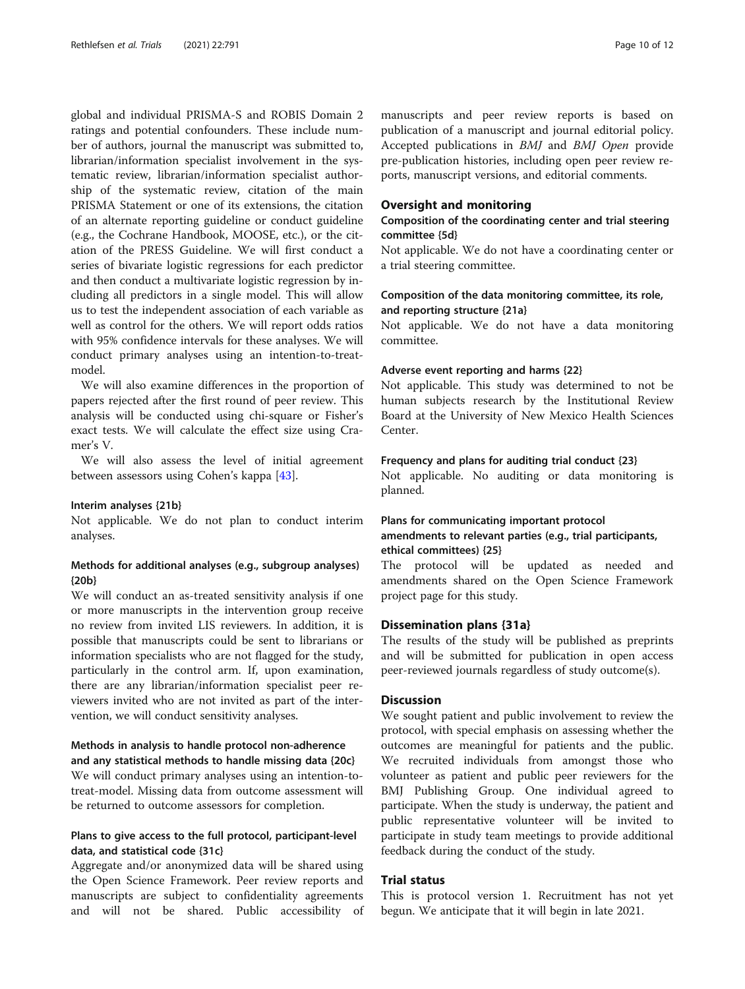global and individual PRISMA-S and ROBIS Domain 2 ratings and potential confounders. These include number of authors, journal the manuscript was submitted to, librarian/information specialist involvement in the systematic review, librarian/information specialist authorship of the systematic review, citation of the main PRISMA Statement or one of its extensions, the citation of an alternate reporting guideline or conduct guideline (e.g., the Cochrane Handbook, MOOSE, etc.), or the citation of the PRESS Guideline. We will first conduct a series of bivariate logistic regressions for each predictor and then conduct a multivariate logistic regression by including all predictors in a single model. This will allow us to test the independent association of each variable as well as control for the others. We will report odds ratios with 95% confidence intervals for these analyses. We will conduct primary analyses using an intention-to-treatmodel.

We will also examine differences in the proportion of papers rejected after the first round of peer review. This analysis will be conducted using chi-square or Fisher's exact tests. We will calculate the effect size using Cramer's V.

We will also assess the level of initial agreement between assessors using Cohen's kappa [\[43](#page-11-0)].

#### Interim analyses {21b}

Not applicable. We do not plan to conduct interim analyses.

# Methods for additional analyses (e.g., subgroup analyses) {20b}

We will conduct an as-treated sensitivity analysis if one or more manuscripts in the intervention group receive no review from invited LIS reviewers. In addition, it is possible that manuscripts could be sent to librarians or information specialists who are not flagged for the study, particularly in the control arm. If, upon examination, there are any librarian/information specialist peer reviewers invited who are not invited as part of the intervention, we will conduct sensitivity analyses.

# Methods in analysis to handle protocol non-adherence and any statistical methods to handle missing data {20c}

We will conduct primary analyses using an intention-totreat-model. Missing data from outcome assessment will be returned to outcome assessors for completion.

# Plans to give access to the full protocol, participant-level data, and statistical code {31c}

Aggregate and/or anonymized data will be shared using the Open Science Framework. Peer review reports and manuscripts are subject to confidentiality agreements and will not be shared. Public accessibility of manuscripts and peer review reports is based on publication of a manuscript and journal editorial policy. Accepted publications in BMJ and BMJ Open provide pre-publication histories, including open peer review reports, manuscript versions, and editorial comments.

# Oversight and monitoring

# Composition of the coordinating center and trial steering committee {5d}

Not applicable. We do not have a coordinating center or a trial steering committee.

# Composition of the data monitoring committee, its role, and reporting structure {21a}

Not applicable. We do not have a data monitoring committee.

#### Adverse event reporting and harms {22}

Not applicable. This study was determined to not be human subjects research by the Institutional Review Board at the University of New Mexico Health Sciences Center.

#### Frequency and plans for auditing trial conduct {23}

Not applicable. No auditing or data monitoring is planned.

# Plans for communicating important protocol amendments to relevant parties (e.g., trial participants, ethical committees) {25}

The protocol will be updated as needed and amendments shared on the Open Science Framework project page for this study.

#### Dissemination plans {31a}

The results of the study will be published as preprints and will be submitted for publication in open access peer-reviewed journals regardless of study outcome(s).

# **Discussion**

We sought patient and public involvement to review the protocol, with special emphasis on assessing whether the outcomes are meaningful for patients and the public. We recruited individuals from amongst those who volunteer as patient and public peer reviewers for the BMJ Publishing Group. One individual agreed to participate. When the study is underway, the patient and public representative volunteer will be invited to participate in study team meetings to provide additional feedback during the conduct of the study.

# Trial status

This is protocol version 1. Recruitment has not yet begun. We anticipate that it will begin in late 2021.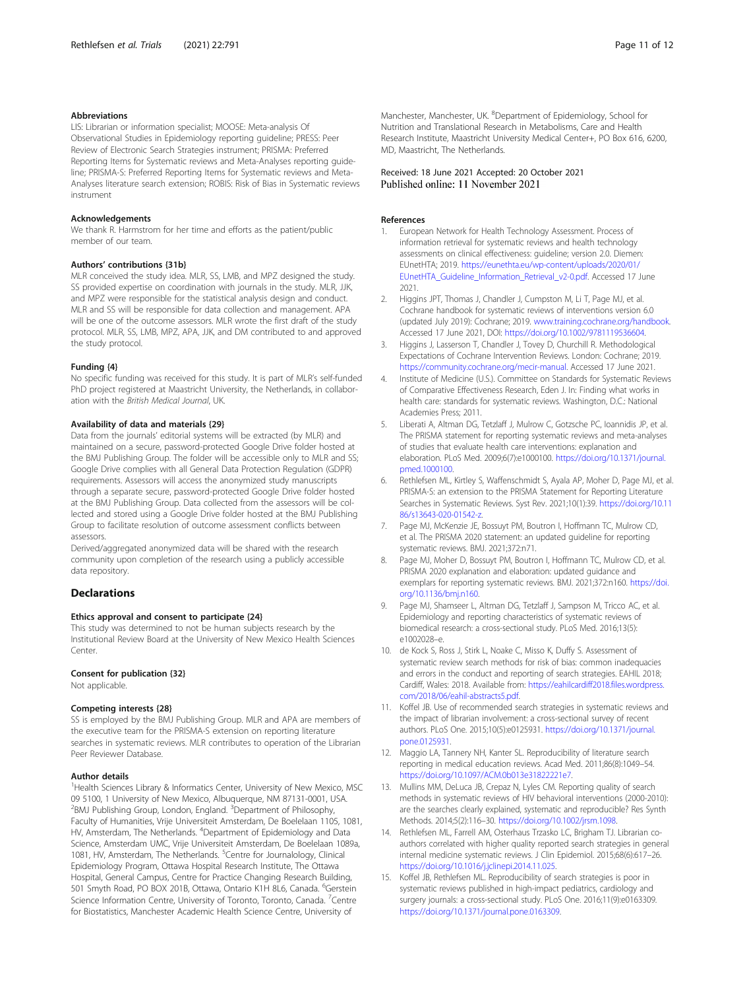#### <span id="page-10-0"></span>Abbreviations

LIS: Librarian or information specialist; MOOSE: Meta-analysis Of Observational Studies in Epidemiology reporting guideline; PRESS: Peer Review of Electronic Search Strategies instrument; PRISMA: Preferred Reporting Items for Systematic reviews and Meta-Analyses reporting guideline; PRISMA-S: Preferred Reporting Items for Systematic reviews and Meta-Analyses literature search extension; ROBIS: Risk of Bias in Systematic reviews instrument

#### Acknowledgements

We thank R. Harmstrom for her time and efforts as the patient/public member of our team.

#### Authors' contributions {31b}

MLR conceived the study idea. MLR, SS, LMB, and MPZ designed the study. SS provided expertise on coordination with journals in the study. MLR, JJK, and MPZ were responsible for the statistical analysis design and conduct. MLR and SS will be responsible for data collection and management. APA will be one of the outcome assessors. MLR wrote the first draft of the study protocol. MLR, SS, LMB, MPZ, APA, JJK, and DM contributed to and approved the study protocol.

#### Funding {4}

No specific funding was received for this study. It is part of MLR's self-funded PhD project registered at Maastricht University, the Netherlands, in collaboration with the British Medical Journal, UK.

#### Availability of data and materials {29}

Data from the journals' editorial systems will be extracted (by MLR) and maintained on a secure, password-protected Google Drive folder hosted at the BMJ Publishing Group. The folder will be accessible only to MLR and SS; Google Drive complies with all General Data Protection Regulation (GDPR) requirements. Assessors will access the anonymized study manuscripts through a separate secure, password-protected Google Drive folder hosted at the BMJ Publishing Group. Data collected from the assessors will be collected and stored using a Google Drive folder hosted at the BMJ Publishing Group to facilitate resolution of outcome assessment conflicts between assessors.

Derived/aggregated anonymized data will be shared with the research community upon completion of the research using a publicly accessible data repository.

# Declarations

#### Ethics approval and consent to participate {24}

This study was determined to not be human subjects research by the Institutional Review Board at the University of New Mexico Health Sciences Center.

#### Consent for publication {32}

Not applicable.

#### Competing interests {28}

SS is employed by the BMJ Publishing Group. MLR and APA are members of the executive team for the PRISMA-S extension on reporting literature searches in systematic reviews. MLR contributes to operation of the Librarian Peer Reviewer Database.

#### Author details

<sup>1</sup> Health Sciences Library & Informatics Center, University of New Mexico, MSC 09 5100, 1 University of New Mexico, Albuquerque, NM 87131-0001, USA. <sup>2</sup>BMJ Publishing Group, London, England. <sup>3</sup>Department of Philosophy, Faculty of Humanities, Vrije Universiteit Amsterdam, De Boelelaan 1105, 1081, HV, Amsterdam, The Netherlands. <sup>4</sup>Department of Epidemiology and Data Science, Amsterdam UMC, Vrije Universiteit Amsterdam, De Boelelaan 1089a, 1081, HV, Amsterdam, The Netherlands. <sup>5</sup>Centre for Journalology, Clinical Epidemiology Program, Ottawa Hospital Research Institute, The Ottawa Hospital, General Campus, Centre for Practice Changing Research Building, 501 Smyth Road, PO BOX 201B, Ottawa, Ontario K1H 8L6, Canada. <sup>6</sup>Gerstein Science Information Centre, University of Toronto, Toronto, Canada. <sup>7</sup>Centre for Biostatistics, Manchester Academic Health Science Centre, University of

Manchester, Manchester, UK. <sup>8</sup>Department of Epidemiology, School for Nutrition and Translational Research in Metabolisms, Care and Health Research Institute, Maastricht University Medical Center+, PO Box 616, 6200, MD, Maastricht, The Netherlands.

#### Received: 18 June 2021 Accepted: 20 October 2021 Published online: 11 November 2021

#### References

- 1. European Network for Health Technology Assessment. Process of information retrieval for systematic reviews and health technology assessments on clinical effectiveness: guideline; version 2.0. Diemen: EUnetHTA; 2019. [https://eunethta.eu/wp-content/uploads/2020/01/](https://eunethta.eu/wp-content/uploads/2020/01/EUnetHTA_Guideline_Information_Retrieval_v2-0.pdf) [EUnetHTA\\_Guideline\\_Information\\_Retrieval\\_v2-0.pdf.](https://eunethta.eu/wp-content/uploads/2020/01/EUnetHTA_Guideline_Information_Retrieval_v2-0.pdf) Accessed 17 June 2021.
- 2. Higgins JPT, Thomas J, Chandler J, Cumpston M, Li T, Page MJ, et al. Cochrane handbook for systematic reviews of interventions version 6.0 (updated July 2019): Cochrane; 2019. [www.training.cochrane.org/handbook](http://www.training.cochrane.org/handbook). Accessed 17 June 2021, DOI: <https://doi.org/10.1002/9781119536604>.
- 3. Higgins J, Lasserson T, Chandler J, Tovey D, Churchill R. Methodological Expectations of Cochrane Intervention Reviews. London: Cochrane; 2019. [https://community.cochrane.org/mecir-manual.](https://community.cochrane.org/mecir-manual) Accessed 17 June 2021.
- 4. Institute of Medicine (U.S.). Committee on Standards for Systematic Reviews of Comparative Effectiveness Research, Eden J. In: Finding what works in health care: standards for systematic reviews. Washington, D.C.: National Academies Press; 2011.
- 5. Liberati A, Altman DG, Tetzlaff J, Mulrow C, Gotzsche PC, Ioannidis JP, et al. The PRISMA statement for reporting systematic reviews and meta-analyses of studies that evaluate health care interventions: explanation and elaboration. PLoS Med. 2009;6(7):e1000100. [https://doi.org/10.1371/journal.](https://doi.org/10.1371/journal.pmed.1000100) [pmed.1000100.](https://doi.org/10.1371/journal.pmed.1000100)
- Rethlefsen ML, Kirtley S, Waffenschmidt S, Ayala AP, Moher D, Page MJ, et al. PRISMA-S: an extension to the PRISMA Statement for Reporting Literature Searches in Systematic Reviews. Syst Rev. 2021;10(1):39. [https://doi.org/10.11](https://doi.org/10.1186/s13643-020-01542-z) [86/s13643-020-01542-z](https://doi.org/10.1186/s13643-020-01542-z).
- 7. Page MJ, McKenzie JE, Bossuyt PM, Boutron I, Hoffmann TC, Mulrow CD, et al. The PRISMA 2020 statement: an updated guideline for reporting systematic reviews. BMJ. 2021;372:n71.
- Page MJ, Moher D, Bossuyt PM, Boutron I, Hoffmann TC, Mulrow CD, et al. PRISMA 2020 explanation and elaboration: updated guidance and exemplars for reporting systematic reviews. BMJ. 2021;372:n160. [https://doi.](https://doi.org/10.1136/bmj.n160) [org/10.1136/bmj.n160](https://doi.org/10.1136/bmj.n160).
- 9. Page MJ, Shamseer L, Altman DG, Tetzlaff J, Sampson M, Tricco AC, et al. Epidemiology and reporting characteristics of systematic reviews of biomedical research: a cross-sectional study. PLoS Med. 2016;13(5): e1002028–e.
- 10. de Kock S, Ross J, Stirk L, Noake C, Misso K, Duffy S. Assessment of systematic review search methods for risk of bias: common inadequacies and errors in the conduct and reporting of search strategies. EAHIL 2018; Cardiff, Wales: 2018. Available from: [https://eahilcardiff2018.files.wordpress.](https://eahilcardiff2018.files.wordpress.com/2018/06/eahil-abstracts5.pdf) [com/2018/06/eahil-abstracts5.pdf.](https://eahilcardiff2018.files.wordpress.com/2018/06/eahil-abstracts5.pdf)
- 11. Koffel JB. Use of recommended search strategies in systematic reviews and the impact of librarian involvement: a cross-sectional survey of recent authors. PLoS One. 2015;10(5):e0125931. [https://doi.org/10.1371/journal.](https://doi.org/10.1371/journal.pone.0125931) [pone.0125931.](https://doi.org/10.1371/journal.pone.0125931)
- 12. Maggio LA, Tannery NH, Kanter SL. Reproducibility of literature search reporting in medical education reviews. Acad Med. 2011;86(8):1049–54. [https://doi.org/10.1097/ACM.0b013e31822221e7.](https://doi.org/10.1097/ACM.0b013e31822221e7)
- 13. Mullins MM, DeLuca JB, Crepaz N, Lyles CM. Reporting quality of search methods in systematic reviews of HIV behavioral interventions (2000-2010): are the searches clearly explained, systematic and reproducible? Res Synth Methods. 2014;5(2):116–30. [https://doi.org/10.1002/jrsm.1098.](https://doi.org/10.1002/jrsm.1098)
- 14. Rethlefsen ML, Farrell AM, Osterhaus Trzasko LC, Brigham TJ. Librarian coauthors correlated with higher quality reported search strategies in general internal medicine systematic reviews. J Clin Epidemiol. 2015;68(6):617–26. [https://doi.org/10.1016/j.jclinepi.2014.11.025.](https://doi.org/10.1016/j.jclinepi.2014.11.025)
- 15. Koffel JB, Rethlefsen ML. Reproducibility of search strategies is poor in systematic reviews published in high-impact pediatrics, cardiology and surgery journals: a cross-sectional study. PLoS One. 2016;11(9):e0163309. [https://doi.org/10.1371/journal.pone.0163309.](https://doi.org/10.1371/journal.pone.0163309)